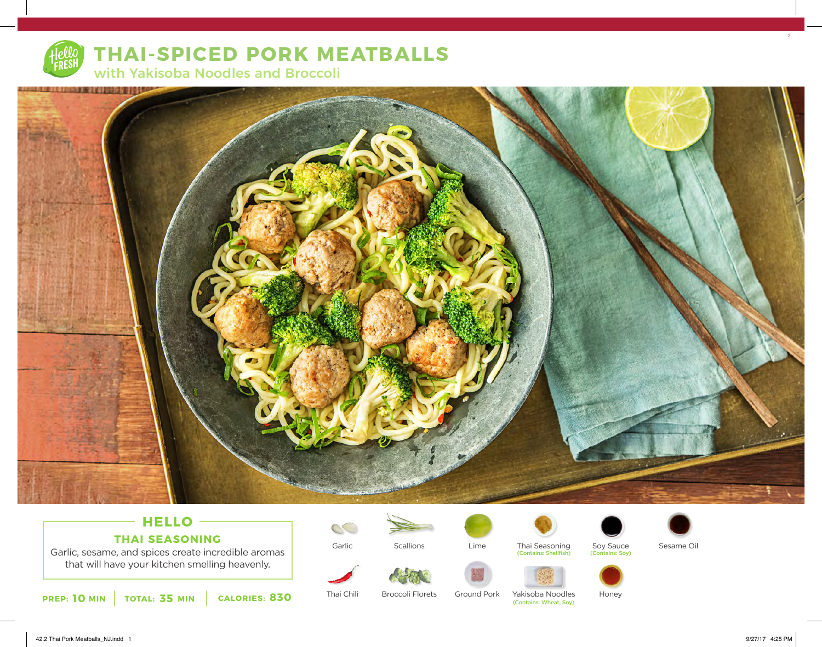

## **THAI-SPICED PORK MEATBALLS**

with Yakisoba Noodles and Broccoli



#### **HELLO THAI SEASONING**

Garlic, sesame, and spices create incredible aromas that will have your kitchen smelling heavenly.



Garlic

Thai Chili



Broccoli Florets

**Scallions** 

Ground Pork

Lime



Thai Seasoning (Contains: Shellfish)



Yakisoba Noodles<br>(Contains: Wheat, Sov)

Sesame Oil

Honey

Soy Sauce<br>
(Contains: Soy)

 $2<sup>2</sup>$